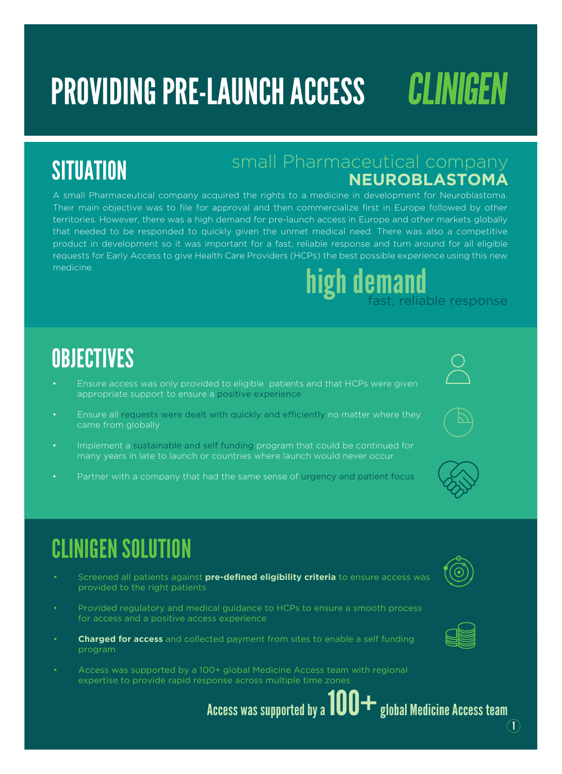# PROVIDING PRE-LAUNCH ACCESS

## **SITUATION**

### small Pharmaceutical company **NEUROBLASTOMA**

A small Pharmaceutical company acquired the rights to a medicine in development for Neuroblastoma. Their main objective was to file for approval and then commercialize first in Europe followed by other territories. However, there was a high demand for pre-launch access in Europe and other markets globally that needed to be responded to quickly given the unmet medical need. There was also a competitive product in development so it was important for a fast, reliable response and turn around for all eligible requests for Early Access to give Health Care Providers (HCPs) the best possible experience using this new medicine. **high demand**<br>fast, reliable response

### **OBJECTIVES**

- Ensure access was only provided to eligible patients and that HCPs were given appropriate support to ensure a positive experience
- Ensure all requests were dealt with quickly and efficiently no matter where they came from globally
- Implement a sustainable and self funding program that could be continued for many years in late to launch or countries where launch would never occur
- Partner with a company that had the same sense of urgency and patient focus

## CLINIGEN SOLUTION

- Screened all patients against **pre-defined eligibility criteria** to ensure access was provided to the right patients
- Provided regulatory and medical guidance to HCPs to ensure a smooth process for access and a positive access experience
- **Charged for access** and collected payment from sites to enable a self funding program
- Access was supported by a 100+ global Medicine Access team with regional expertise to provide rapid response across multiple time zones



CLINIGEN



Access was supported by a  $100+$  global Medicine Access team